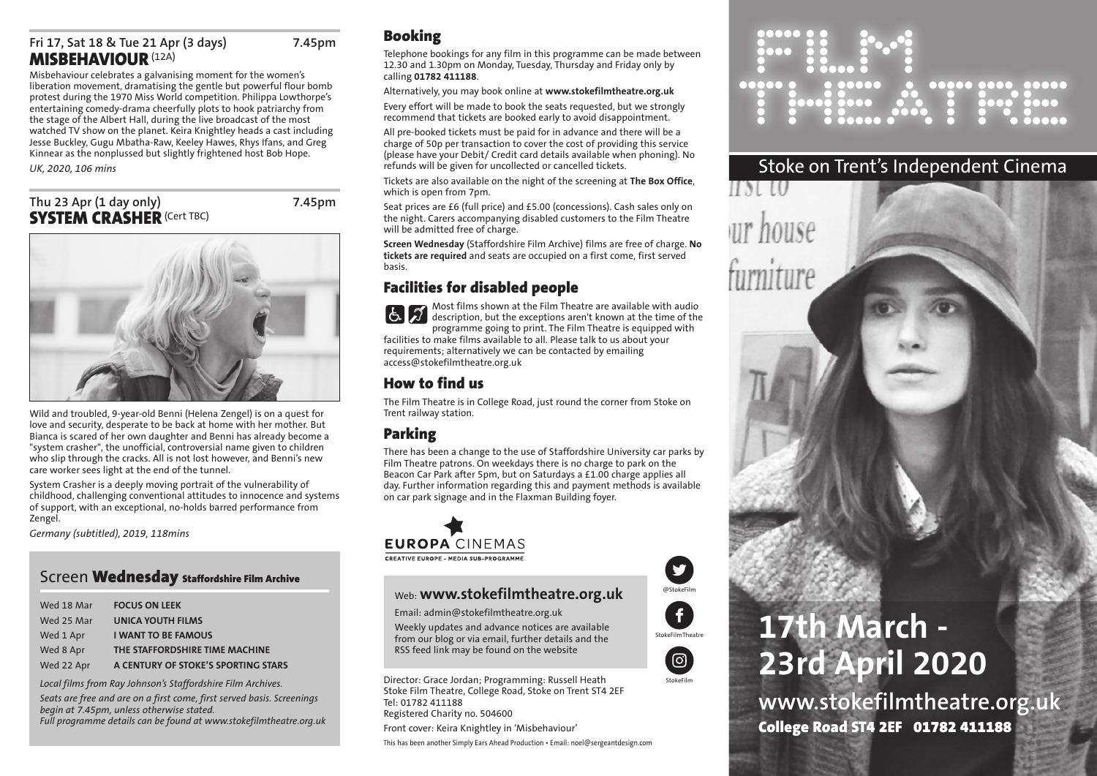# **Fri 17, Sat 18 & Tue 21 Apr (3 days) 7.45pm MISBEHAVIOUR**(12A)

Misbehaviour celebrates a galvanising moment for the women's liberation movement, dramatising the gentle but powerful flour bomb protest during the 1970 Miss World competition. Philippa Lowthorpe's entertaining comedy-drama cheerfully plots to hook patriarchy from the stage of the Albert Hall, during the live broadcast of the most watched TV show on the planet. Keira Knightley heads a cast including Jesse Buckley, Gugu Mbatha-Raw, Keeley Hawes, Rhys Ifans, and Greg Kinnear as the nonplussed but slightly frightened host Bob Hope.

*UK, 2020, 106 mins*

# **Thu 23 Apr (1 day only) 7.45pm SYSTEM CRASHER (Cert TBC)**



Wild and troubled, 9-year-old Benni (Helena Zengel) is on a quest for love and security, desperate to be back at home with her mother. But Bianca is scared of her own daughter and Benni has already become a "system crasher", the unofficial, controversial name given to children who slip through the cracks. All is not lost however, and Benni's new care worker sees light at the end of the tunnel.

System Crasher is a deeply moving portrait of the vulnerability of childhood, challenging conventional attitudes to innocence and systems of support, with an exceptional, no-holds barred performance from Zengel.

*Germany (subtitled), 2019, 118mins*

# Screen **Wednesday Staffordshire Film Archive**

| Wed 18 Mar | <b>FOCUS ON LEEK</b>                |
|------------|-------------------------------------|
| Wed 25 Mar | <b>UNICA YOUTH FILMS</b>            |
| Wed 1 Apr  | <b>I WANT TO BE FAMOUS</b>          |
| Wed 8 Apr  | THE STAFFORDSHIRE TIME MACHINE      |
| Wed 22 Apr | A CENTURY OF STOKE'S SPORTING STARS |

*Local films from Ray Johnson's Staffordshire Film Archives.*

*Seats are free and are on a first come, first served basis. Screenings begin at 7.45pm, unless otherwise stated.*

*Full programme details can be found at www.stokefilmtheatre.org.uk*

# **Booking**

Telephone bookings for any film in this programme can be made between 12.30 and 1.30pm on Monday, Tuesday, Thursday and Friday only by calling **01782 411188**.

#### Alternatively, you may book online at **www.stokefilmtheatre.org.uk**

Every effort will be made to book the seats requested, but we strongly recommend that tickets are booked early to avoid disappointment.

All pre-booked tickets must be paid for in advance and there will be a charge of 50p per transaction to cover the cost of providing this service (please have your Debit/ Credit card details available when phoning). No refunds will be given for uncollected or cancelled tickets.

Tickets are also available on the night of the screening at **The Box Office**, which is open from 7pm.

Seat prices are £6 (full price) and £5.00 (concessions). Cash sales only on the night. Carers accompanying disabled customers to the Film Theatre will be admitted free of charge.

**Screen Wednesday** (Staffordshire Film Archive) films are free of charge. **No tickets are required** and seats are occupied on a first come, first served basis.

# **Facilities for disabled people**

Most films shown at the Film Theatre are available with audio  $\mathcal{A}$ description, but the exceptions aren't known at the time of the programme going to print. The Film Theatre is equipped with facilities to make films available to all. Please talk to us about your requirements; alternatively we can be contacted by emailing access@stokefilmtheatre.org.uk

# **How to find us**

The Film Theatre is in College Road, just round the corner from Stoke on Trent railway station.

# **Parking**

There has been a change to the use of Staffordshire University car parks by Film Theatre patrons. On weekdays there is no charge to park on the Beacon Car Park after 5pm, but on Saturdays a £1.00 charge applies all day. Further information regarding this and payment methods is available on car park signage and in the Flaxman Building foyer.

# **EUROPA CINEMAS** CREATIVE EUROPE - MEDIA SUB-PROGRAMME

# Web: **www.stokefilmtheatre.org.uk**

Email: admin@stokefilmtheatre.org.uk

Weekly updates and advance notices are available from our blog or via email, further details and the RSS feed link may be found on the website

Director: Grace Jordan; Programming: Russell Heath Stoke Film Theatre, College Road, Stoke on Trent ST4 2EF Tel: 01782 411188 Registered Charity no. 504600 Front cover: Keira Knightley in 'Misbehaviour' This has been another Simply Ears Ahead Production • Email: noel@sergeantdesign.com

00000 0000 00000 **..... .**  $\bullet\bullet\bullet\bullet\bullet$  $\overline{\phantom{a}}$ 

# Stoke on Trent's Independent Cinema

# **17th March - 23rd April 2020**

**www.stokefilmtheatre.org.uk College Road ST4 2EF 01782 411188**